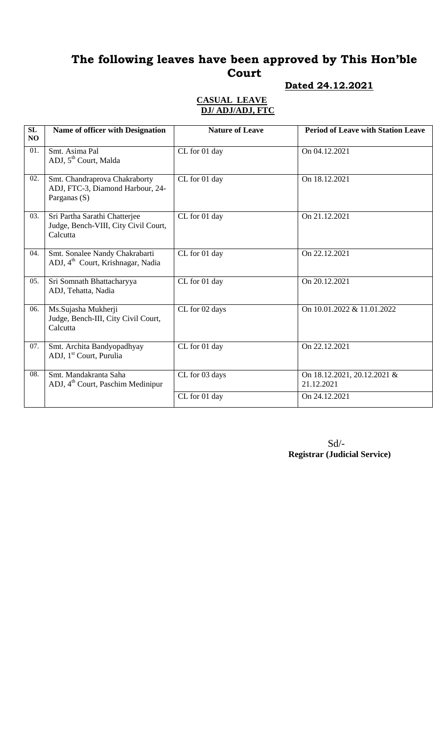# **The following leaves have been approved by This Hon'ble Court**

### **Dated 24.12.2021**

### **CASUAL LEAVE DJ/ ADJ/ADJ, FTC**

| SL<br>NO | <b>Name of officer with Designation</b>                                           | <b>Nature of Leave</b> | <b>Period of Leave with Station Leave</b> |
|----------|-----------------------------------------------------------------------------------|------------------------|-------------------------------------------|
| 01.      | Smt. Asima Pal<br>ADJ, 5 <sup>th</sup> Court, Malda                               | CL for 01 day          | On 04.12.2021                             |
| 02.      | Smt. Chandraprova Chakraborty<br>ADJ, FTC-3, Diamond Harbour, 24-<br>Parganas (S) | CL for 01 day          | On 18.12.2021                             |
| 03.      | Sri Partha Sarathi Chatterjee<br>Judge, Bench-VIII, City Civil Court,<br>Calcutta | CL for 01 day          | On 21.12.2021                             |
| 04.      | Smt. Sonalee Nandy Chakrabarti<br>ADJ, 4 <sup>th</sup> Court, Krishnagar, Nadia   | CL for 01 day          | On 22.12.2021                             |
| 05.      | Sri Somnath Bhattacharyya<br>ADJ, Tehatta, Nadia                                  | CL for 01 day          | On 20.12.2021                             |
| 06.      | Ms.Sujasha Mukherji<br>Judge, Bench-III, City Civil Court,<br>Calcutta            | CL for 02 days         | On 10.01.2022 & 11.01.2022                |
| 07.      | Smt. Archita Bandyopadhyay<br>ADJ, 1 <sup>st</sup> Court, Purulia                 | CL for 01 day          | On 22.12.2021                             |
| 08.      | Smt. Mandakranta Saha<br>ADJ, 4 <sup>th</sup> Court, Paschim Medinipur            | CL for 03 days         | On 18.12.2021, 20.12.2021 &<br>21.12.2021 |
|          |                                                                                   | CL for 01 day          | On 24.12.2021                             |

Sd/-  **Registrar (Judicial Service)**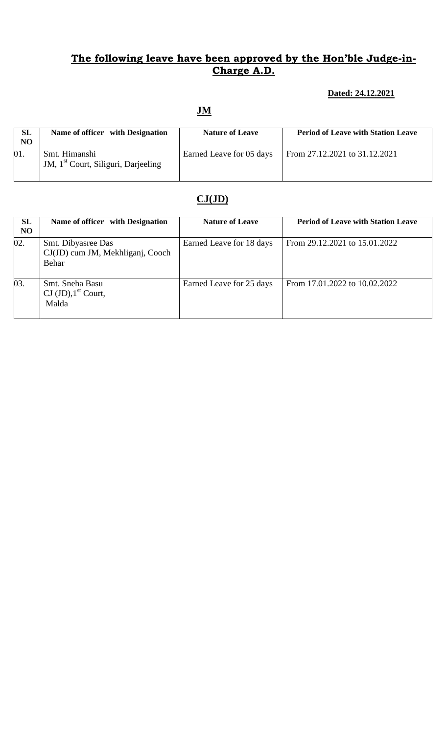## **The following leave have been approved by the Hon'ble Judge-in-Charge A.D.**

#### **Dated: 24.12.2021**

### **JM**

| <b>SL</b><br>N <sub>O</sub> | Name of officer with Designation                                 | <b>Nature of Leave</b>   | <b>Period of Leave with Station Leave</b> |
|-----------------------------|------------------------------------------------------------------|--------------------------|-------------------------------------------|
| 01.                         | Smt. Himanshi<br>JM, 1 <sup>st</sup> Court, Siliguri, Darjeeling | Earned Leave for 05 days | From 27.12.2021 to 31.12.2021             |

## **CJ(JD)**

| SL<br><b>NO</b> | Name of officer with Designation                                | <b>Nature of Leave</b>   | <b>Period of Leave with Station Leave</b> |
|-----------------|-----------------------------------------------------------------|--------------------------|-------------------------------------------|
| 02.             | Smt. Dibyasree Das<br>CJ(JD) cum JM, Mekhliganj, Cooch<br>Behar | Earned Leave for 18 days | From 29.12.2021 to 15.01.2022             |
| 03.             | Smt. Sneha Basu<br>CJ $(JD)$ , 1 <sup>st</sup> Court,<br>Malda  | Earned Leave for 25 days | From 17.01.2022 to 10.02.2022             |